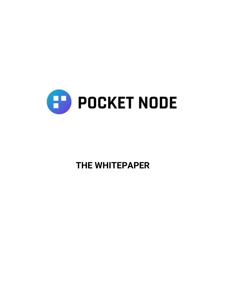

# **THE WHITEPAPER**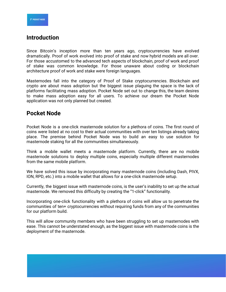## **Introduction**

Since Bitcoin's inception more than ten years ago, cryptocurrencies have evolved dramatically. Proof of work evolved into proof of stake and now hybrid models are all over. For those accustomed to the advanced tech aspects of blockchain, proof of work and proof of stake was common knowledge. For those unaware about coding or blockchain architecture proof of work and stake were foreign languages.

Masternodes fall into the category of Proof of Stake cryptocurrencies. Blockchain and crypto are about mass adoption but the biggest issue plaguing the space is the lack of platforms facilitating mass adoption. Pocket Node set out to change this, the team desires to make mass adoption easy for all users. To achieve our dream the Pocket Node application was not only planned but created.

## **Pocket Node**

Pocket Node is a one-click masternode solution for a plethora of coins. The first round of coins were listed at no cost to their actual communities with over ten listings already taking place. The premise behind Pocket Node was to build an easy to use solution for masternode staking for all the communities simultaneously.

Think a mobile wallet meets a masternode platform. Currently, there are no mobile masternode solutions to deploy multiple coins, especially multiple different masternodes from the same mobile platform.

We have solved this issue by incorporating many masternode coins (including Dash, PIVX, ION, RPD, etc.) into a mobile wallet that allows for a one-click masternode setup.

Currently, the biggest issue with masternode coins, is the user's inability to set up the actual masternode. We removed this difficulty by creating the "1-click" functionality.

Incorporating one-click functionality with a plethora of coins will allow us to penetrate the communities of ten+ cryptocurrencies without requiring funds from any of the communities for our platform build.

This will allow community members who have been struggling to set up masternodes with ease. This cannot be understated enough, as the biggest issue with masternode coins is the deployment of the masternode.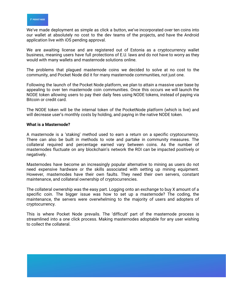We've made deployment as simple as click a button, we've incorporated over ten coins into our wallet at absolutely no cost to the dev teams of the projects, and have the Android application live with iOS pending approval.

We are awaiting license and are registered out of Estonia as a cryptocurrency wallet business, meaning users have full protections of E.U. laws and do not have to worry as they would with many wallets and masternode solutions online.

The problems that plagued masternode coins we decided to solve at no cost to the community, and Pocket Node did it for many masternode communities, not just one.

Following the launch of the Pocket Node platform, we plan to attain a massive user base by appealing to over ten masternode coin communities. Once this occurs we will launch the NODE token allowing users to pay their daily fees using NODE tokens, instead of paying via Bitcoin or credit card.

The NODE token will be the internal token of the PocketNode platform (which is live) and will decrease user's monthly costs by holding, and paying in the native NODE token.

#### **What is a Masternode?**

A masternode is a 'staking' method used to earn a return on a specific cryptocurrency. There can also be built in methods to vote and partake in community measures. The collateral required and percentage earned vary between coins. As the number of masternodes fluctuate on any blockchain's network the ROI can be impacted positively or negatively.

Masternodes have become an increasingly popular alternative to mining as users do not need expensive hardware or the skills associated with setting up mining equipment. However, masternodes have their own faults. They need their own servers, constant maintenance, and collateral ownership of cryptocurrencies.

The collateral ownership was the easy part. Logging onto an exchange to buy X amount of a specific coin. The bigger issue was how to set up a masternode? The coding, the maintenance, the servers were overwhelming to the majority of users and adopters of cryptocurrency.

This is where Pocket Node prevails. The 'difficult' part of the masternode process is streamlined into a one click process. Making masternodes adoptable for any user wishing to collect the collateral.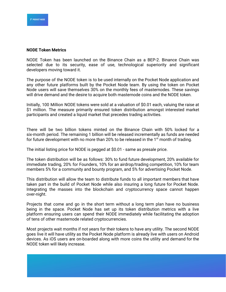#### **NODE Token Metrics**

NODE Token has been launched on the Binance Chain as a BEP-2. Binance Chain was selected due to its security, ease of use, technological superiority and significant developers moving toward it.

The purpose of the NODE token is to be used internally on the Pocket Node application and any other future platforms built by the Pocket Node team. By using the token on Pocket Node users will save themselves 30% on the monthly fees of masternodes. These savings will drive demand and the desire to acquire both masternode coins and the NODE token.

Initially, 100 Million NODE tokens were sold at a valuation of \$0.01 each, valuing the raise at \$1 million. The measure primarily ensured token distribution amongst interested market participants and created a liquid market that precedes trading activities.

There will be two billion tokens minted on the Binance Chain with 50% locked for a six-month period. The remaining 1 billion will be released incrementally as funds are needed for future development with no more than 20% to be released in the 1 $\mathrm{^{st}}$  month of trading.

The initial listing price for NODE is pegged at \$0.01 - same as presale price.

The token distribution will be as follows: 30% to fund future development, 20% available for immediate trading, 20% for Founders, 10% for an airdrop/trading competition, 10% for team members 5% for a community and bounty program, and 5% for advertising Pocket Node.

This distribution will allow the team to distribute funds to all important members that have taken part in the build of Pocket Node while also insuring a long future for Pocket Node. Integrating the masses into the blockchain and cryptocurrency space cannot happen over-night.

Projects that come and go in the short term without a long term plan have no business being in the space. Pocket Node has set up its token distribution metrics with a live platform ensuring users can spend their NODE immediately while facilitating the adoption of tens of other masternode related cryptocurrencies.

Most projects wait months if not years for their tokens to have any utility. The second NODE goes live it will have utility as the Pocket Node platform is already live with users on Android devices. As iOS users are on-boarded along with more coins the utility and demand for the NODE token will likely increase.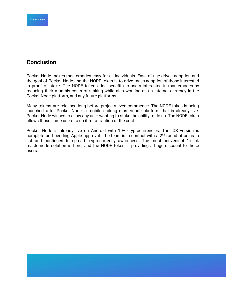

## **Conclusion**

Pocket Node makes masternodes easy for all individuals. Ease of use drives adoption and the goal of Pocket Node and the NODE token is to drive mass adoption of those interested in proof of stake. The NODE token adds benefits to users interested in masternodes by reducing their monthly costs of staking while also working as an internal currency in the Pocket Node platform, and any future platforms.

Many tokens are released long before projects even commence. The NODE token is being launched after Pocket Node, a mobile staking masternode platform that is already live. Pocket Node wishes to allow any user wanting to stake the ability to do so. The NODE token allows those same users to do it for a fraction of the cost.

Pocket Node is already live on Android with 10+ cryptocurrencies. The iOS version is complete and pending Apple approval. The team is in contact with a  $2<sup>nd</sup>$  round of coins to list and continues to spread cryptocurrency awareness. The most convenient 1-click masternode solution is here, and the NODE token is providing a huge discount to those users.